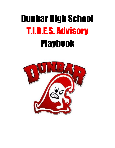# Dunbar High School T.I.D.E.S. Advisory **Playbook**

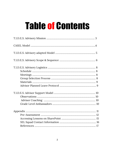# Table of Contents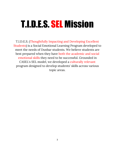# T.I.D.E.S. SEL Mission

T.I.D.E.S. (Thoughtfully Impacting and Developing Excellent Students) is a Social Emotional Learning Program developed to meet the needs of Dunbar students. We believe students are best prepared when they have both the academic and social emotional skills they need to be successful. Grounded in CASEL's SEL model, we developed a culturally relevant program designed to develop students' skills across various topic areas.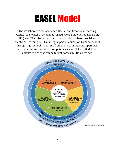# CASEL Model

The Collaborative for Academic, Social, and Emotional Learning (CASEL) is a leader in evidenced-based social and emotional learning (SEL). CASEL's mission is to help make evidence-based social and emotional learning (SEL) an integral part of education from preschool through high school. Their SEL framework promotes intrapersonal, interpersonal and cognitive competencies. CASEL identified 5 core competencies that can be taught across multiple settings.

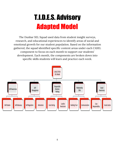## T.I.D.E.S. Advisory Adapted Model

The Dunbar SEL Squad used data from student insight surveys, research, and educational experiences to identify areas of social and emotional growth for our student population. Based on the information gathered, the squad identified specific content areas under each CASEL component to focus on each month to support our students' development. Each month, the components are broken down into specific skills students will learn and practice each week.

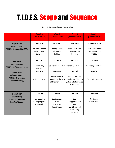### T.I.D.E.S. Scope and Sequence

#### **Part I: September- December**

|                                                                                                 | Week 1<br>(Asynchronous)                                       | Week 2<br>(Synchronous)                                               | Week 3<br>(Asynchronous)                                                                       | Week 4<br>(Synchronous)                                            |
|-------------------------------------------------------------------------------------------------|----------------------------------------------------------------|-----------------------------------------------------------------------|------------------------------------------------------------------------------------------------|--------------------------------------------------------------------|
| September<br><b>Building Trust</b><br>(CASEL: Relationship Skills)                              | Sept 8th<br>Advisor/Advisee<br>Relationship<br><b>Building</b> | Sept 16th<br>Advisor/Advisee<br>Relationship<br><b>Building</b>       | Sept 23rd<br>Advisor/Advisee<br>Relationship<br><b>Building</b>                                | September 30th<br>Creating the space<br>Part I- What the<br>TIDES? |
| <b>October</b><br><b>Self-Regulation</b><br>(CASEL: Self-Management)                            | Oct 7th<br>Community<br>Matters                                | Oct 14th<br>Stress and the Brain   Managing Emotions                  | Oct 21st                                                                                       | Oct 28th<br><b>Processing Emotions</b>                             |
| <b>November</b><br><b>Conflict Resolution</b><br>(CASEL: Responsible<br><b>Decision Making)</b> | Nov 4th<br><b>Active Listening</b>                             | Nov 11th<br>How to control<br>emotions in the heat<br>of the moment   | Nov 18th<br>Student resolved<br>conflict vs. When to<br>get an adult involved<br>in a conflict | Nov 25th<br>Thanksgiving Break                                     |
| <b>December</b><br><b>Goal Setting</b><br>(CASEL: Responsible<br><b>Decision Making)</b>        | Dec 2nd<br>How decision<br>making impacts<br>your goals        | Dec 9th<br>Setting your<br>vision<br>How to set<br><b>SMART</b> goals | Dec 16th<br>Goal<br>Stoppers/Block<br>ers<br>Identifying and<br>celebrating<br>progress        | Dec 23rd<br>No School<br><b>Winter Break</b>                       |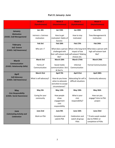### **Part II: January- June**

|                                          | Week 1                 | <b>Week 2</b>                              | Week 3                                   | Week 4                                |
|------------------------------------------|------------------------|--------------------------------------------|------------------------------------------|---------------------------------------|
|                                          | (Synchronous)          | (Asynchronous)                             | (Synchronous)                            | (Asynchronous)                        |
|                                          |                        |                                            |                                          |                                       |
| <b>January</b>                           | Jan. 6th               | Jan 13th                                   | Jan 20th                                 | Jan 27th                              |
| <b>Motivation</b>                        |                        |                                            |                                          |                                       |
| (CASEL: Self-Management)                 | Intrinsic v. Extrinsic | How to get                                 | How to stay                              | Time Management &                     |
|                                          | motivation             | motivated-Habits of                        | motivated                                | motivation                            |
|                                          |                        | <b>Success</b>                             |                                          |                                       |
| <b>February</b>                          | Feb 3rd                | Feb 10th                                   | Feb 17th                                 | Feb 24th                              |
| Self-Esteem                              | Who am I?              |                                            | What does a person What is the long-term | What does a person with               |
| (CASEL: Self-Awareness)                  |                        | challenged with                            | impact of low                            | high self-esteem look                 |
|                                          |                        | their self-esteem look self-esteem? Making |                                          | like?                                 |
|                                          |                        | like?                                      | choices etc.                             |                                       |
|                                          | <b>March 3rd</b>       | March 10th                                 | March 17tth                              | March 24th                            |
| <b>March</b>                             |                        |                                            |                                          |                                       |
| <b>Communication</b>                     | Forms of               | Social media                               | Informal                                 | <b>Formal Communication</b>           |
| (CASEL: Relationship Skills)             | Communication          | communication: Do's                        | Communication                            |                                       |
|                                          |                        | & Don'ts                                   |                                          |                                       |
|                                          |                        |                                            |                                          |                                       |
|                                          | March 31st             | April 7th                                  | April 21st                               | April 28th                            |
| <b>April</b>                             |                        |                                            |                                          |                                       |
| Self-Advocacy<br>(CASEL: Self-Awareness) | What is self-advocacy? | How do you know                            | Advocating for self in                   | Community advocacy                    |
|                                          |                        | when to advocate                           | difficult situations                     |                                       |
|                                          |                        | and when to accept                         |                                          |                                       |
|                                          |                        | circumstances?                             |                                          |                                       |
| <b>May</b>                               | May 5th                | May 12th                                   | May 19th                                 | May 26th                              |
| <b>Civic Responsibility</b>              |                        |                                            |                                          |                                       |
| (CASEL: Social Awareness)                | Caring for your        | How people                                 | What is your                             | How can you                           |
|                                          | community              | show                                       | civic                                    | engage? Intro to PSA                  |
|                                          |                        | engagement<br>civic                        | responsibility?                          | project                               |
|                                          |                        | responsibility                             |                                          |                                       |
|                                          |                        |                                            |                                          |                                       |
| June                                     | June 2nd               | June 9th                                   | June 16th                                | June 23rd                             |
| <b>Culminating Activity and</b>          |                        |                                            |                                          |                                       |
| <b>Celebration</b>                       | Work on PSA            | Complete and                               | Celebration and                          | * If extra week needed                |
|                                          |                        | submit PSA                                 | watch all group<br>PSAs                  | due to PARCC or<br>completion of PSAs |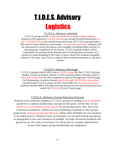# T.I.D.E.S. Advisory **Logistics**

T.I.D.E.S. Advisory schedule

T.I.D.E.S. group is held weekly on Wednesdays from 1:10pm-2:00pm. . Students will experience two live lessons per month (Synchronous) and two pre-recorded lessons per month (Asynchronous). All T.I.D.E.S group leaders will receive lesson plans for each lesson. On asynchronous days, students will be instructed to watch the lesson and complete an independent activity to demonstrate completion of the lesson. T.I.D.E.S. group leaders will be responsible for posting those lessons and reviewing those activities to 1.) assess for understanding of the topic 2.) learn about the students thoughts related to the topic and 3.) tie in content from student responses to the next lesson.

### T.I.D.E.S. Advisory Meetings

T.I.D.E.S. group leaders will create a CANVAS page for their T.I.D.E.S group. Similar to their academic classes, T.I.D.E.S. group leaders will also create a Microsoft Teams link for their students to access through the CANVAS page. On Wednesdays, students should sign in through CANVAS for attendance and then join T.I.D.E.S. group via the Teams link. On Asynchronous days, students should follow the same process and access the asynchronous lesson under the Files tab of your Teams page.

#### T.I.D.E.S. Advisory Group Selection Process

Students were randomly assigned to T.I.D.E.S. groups according to three variables: grade level, academy membership, and special education. At this time, we are unable to accommodate special requests for group placement. Also, due to the continuous enrollment, withdrawal, and scheduling of students in their proper grade levels, advisory groups may fluctuate. Please allow flexibility for new students to be added and/or withdrawn from your groups. It is our goal to keep each group as manageable in size and consistent as possible. Through continuous feedback and growth in our SEL work, in the future we will be able to consider additional key factors that support group membership and assignment.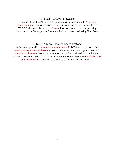#### T.I.D.E.S. Advisory Materials

All materials for the T.I.D.E.S. SEL program will be stored on the T.I.D.E.S. SharePoint site. You will receive an invite to your email to gain access to the T.I.D.E.S. site. On this site, we will store lessons, resources, and supporting documentation. See Appendix 2 for more information on navigating SharePoint.

#### T.I.D.E.S. Advisor Planned Leave Protocol

In the event you will be absent for a synchronous T.I.D.E.S. lesson, please either develop an asynchronous lesson for your students to complete in your absence OR identify a colleague who can serve as a partner in this work and arrange for your students to attend their T.I.D.E.S. group in your absence. Please also notify Dr. Cox and Dr. Palmer that you will be absent and the plan for your students.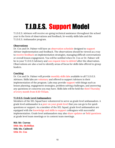# T.I.D.E.S. Support Model

T.I.D.E.S. Advisors will receive on-going technical assistance throughout the school year in the form of observations and feedback, bi-weekly skills labs and the T.I.D.E.S. Ambassador program.

#### **Observations**

Dr. Cox and Dr. Palmer will have an observation schedule designed to support Advisor implementation and feedback. The observations should be viewed as a way to receive feedback on implementation strategies, managing difficult conversations or overall lesson engagement. You will be notified when Dr. Cox or Dr. Palmer will be in your T.I.D.E.S Advisory and can request time to debrief after the observation. Observations are also a tool to identify areas of focus for skills labs offered to group leaders.

#### **Coaching**

Dr. Cox and Dr. Palmer will provide monthly skills labs available to all T.I.D.E.S. Advisors. Skills labs are voluntary and offered to support Advisors in their implementation of the program. Labs may provide support with things such as lesson planning, engagement strategies, problem solving challenges, and answering any questions or concerns you may have. Skills labs will be held the third Thursday of every month from 8:30-9:15am.

#### **T.I.D.E.S. Grade Level Ambassadors**

Members of the SEL Squad have volunteered to serve as grade level ambassadors. A grade level ambassador is a peer on your grade level that you can go to for quick questions or support. As a member of the SEL Squad, grade level ambassadors are equipped with the knowledge and skills to support colleagues with successful implementation. Grade level ambassadors may also share updates or field questions at grade level team meetings or in content team meetings.

**9th: Mr. Cuevas 10th: Ms. McMillan 11th: Ms. Caldwell 12th: Dr. Cox**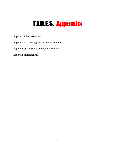## T.I.D.E.S. Appendix

Appendix 1: Pre-Assessment

Appendix 2: Accessing Lessons on SharePoint

Appendix 3: SEL Squad contact information

Appendix 4: References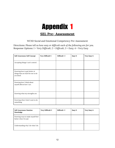### **SEL Pre- Assessment**

WCSD Social and Emotional Competency Pre-Assessment

Directions: *Please tell us how easy or difficult each of the following are for you.* Response Options: *1 = Very Difficult; 2 = Difficult; 3 = Easy; 4 = Very Easy*

| Self-Awareness: Self Concept                                                    | Very Difficult=1 | Difficult=2 | Easy=3 | Very Easy=4 |
|---------------------------------------------------------------------------------|------------------|-------------|--------|-------------|
|                                                                                 |                  |             |        |             |
| Accepting things I can't control.                                               |                  |             |        |             |
| Knowing how to get better at<br>things that are hard for me to do<br>at school. |                  |             |        |             |
| Knowing how I think about<br>myself affects how I act.                          |                  |             |        |             |
| Knowing what my strengths are.                                                  |                  |             |        |             |
| Knowing when I don't want to do<br>something.                                   |                  |             |        |             |

| <b>Self-Awareness: Emotion</b><br>Knowledge              | Very Difficult=1 | Difficult=2 | $Easy=3$ | Very Easy=4 |
|----------------------------------------------------------|------------------|-------------|----------|-------------|
| Knowing ways to make myself feel<br>better when I'm sad. |                  |             |          |             |
| Understanding why I do what I do.                        |                  |             |          |             |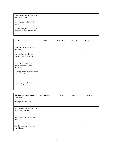| Knowing when my mood affects<br>how I treat others.              |  |  |
|------------------------------------------------------------------|--|--|
| Knowing ways I calm myself<br>down.                              |  |  |
| Understanding how my attitude<br>can affect how others treat me. |  |  |

| <b>Social Awareness</b>                                                 | Very Difficult=1 | Difficult=2 | Easy=3 | Very Easy=4 |
|-------------------------------------------------------------------------|------------------|-------------|--------|-------------|
| Knowing how I can help my<br>community.                                 |                  |             |        |             |
| Learning from people with<br>different opinions than me.                |                  |             |        |             |
| Knowing how to get help when<br>I'm having trouble with a<br>classmate. |                  |             |        |             |
| Knowing when a classmate is not<br>being treated fairly.                |                  |             |        |             |
| Being happy for others when<br>they succeed.                            |                  |             |        |             |

| Self-Management: Emotion<br>Regulation                    | Very Difficult=1 | Difficult=2 | Easy=3 | Very Easy=4 |
|-----------------------------------------------------------|------------------|-------------|--------|-------------|
| Staying calm when I feel<br>stressed.                     |                  |             |        |             |
| Getting through something even<br>when I feel frustrated. |                  |             |        |             |
| Speaking in class even if I am<br>nervous.                |                  |             |        |             |
| Working on things even when I<br>don't like them.         |                  |             |        |             |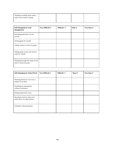| Thinking carefully about what I<br>want to say, before I speak. |  |  |
|-----------------------------------------------------------------|--|--|
|                                                                 |  |  |

| Self-Management: Goal<br>Management                          | Very Difficult=1 | Difficult=2 | Easy=3 | Very Easy=4 |
|--------------------------------------------------------------|------------------|-------------|--------|-------------|
| Reaching goals that I set for<br>myself                      |                  |             |        |             |
| Setting goals for myself                                     |                  |             |        |             |
| Taking action to reach my goals                              |                  |             |        |             |
| Taking steps to have the future I<br>want for myself.        |                  |             |        |             |
| Thinking through the steps it will<br>take to reach my goal. |                  |             |        |             |

| Self-Management: School Work                                  | Very Difficult=1 | Difficult=2 | $Easy=3$ | Very Easy=4 |
|---------------------------------------------------------------|------------------|-------------|----------|-------------|
| Planning ahead so I can turn a<br>project in on time.         |                  |             |          |             |
| Finishing my schoolwork<br>without reminders.                 |                  |             |          |             |
| Being prepared for tests.                                     |                  |             |          |             |
| Staying focused in class even<br>when there are distractions. |                  |             |          |             |
| Coming to class prepared.                                     |                  |             |          |             |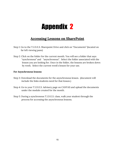### **Accessing Lessons on SharePoint**

- Step 1: Go to the T.I.D.E.S. Sharepoint Drive and click on "Documents" (located on far left viewing pane)
- Step 2: Click on the folder for the current month. You will see a folder that says "synchronous" and "asynchronous". Select the folder associated with the lesson you are looking for. Once in the folder, the lessons are broken down by week. Select the current week's lesson for your use.

#### **For Asynchronous lessons**

- Step 3: Download the documents for the asynchronous lesson. (document will include the links students need for that lesson.)
- Step 4: Go to your T.I.D.E.S. Advisory page on CANVAS and upload the documents under the module created for the month.
- Step 5: During a synchronous T.I.D.E.S. class, walk your student through the process for accessing the asynchronous lessons.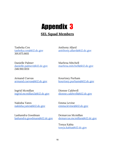### **SEL Squad Members**

Tasheka Cox tasheka.cox@k12.dc.gov 301.875.6611

Anthony Allard antthony.allard@k12.dc.gov

Danielle Palmer danielle.palmer@k12.dc.gov 248.910.1031

Armand Cuevas armand.cuevas@k12.dc.gov

Ingrid Mcmillan ingrid.mcmillan2@k12.dc.gov

Nakisha Yates nakisha.yates@k12.dc.gov

Lashandra Goodman lashandra.goodman@k12.dc.gov

Marlena Mitchell marlena.mitchell@k12.dc.gov

Kourtney Purham kourtney.purham@k12.dc.gov

Dionne Caldwell dionne.caldwell@k12.dc.gov

Emma Levine emma.levine@k12.dc.gov

Demarcus Mcmillan demarcus.mcmillan@k12.dc.gov

Tonya Kabia tonya.kabia@k12.dc.gov